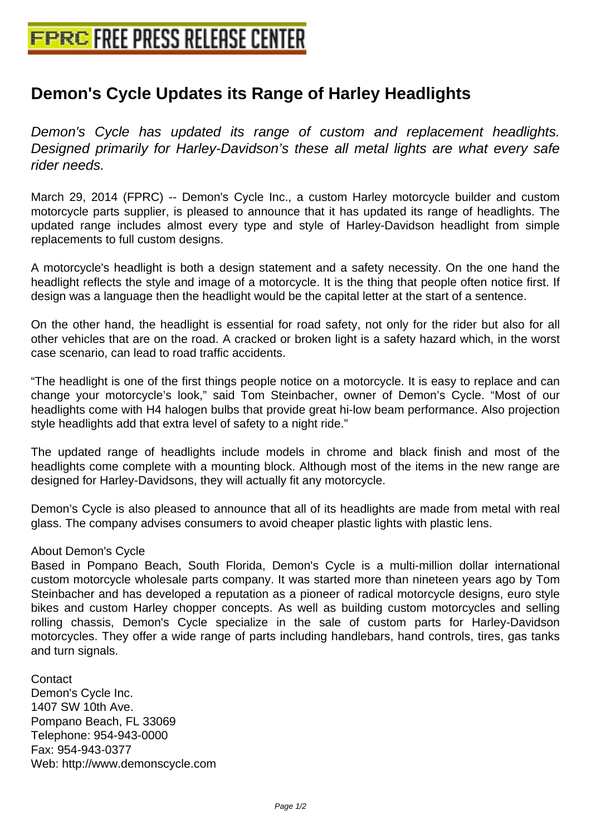## **[Demon's Cycle Updates its Range](http://www.free-press-release-center.info) of Harley Headlights**

Demon's Cycle has updated its range of custom and replacement headlights. Designed primarily for Harley-Davidson's these all metal lights are what every safe rider needs.

March 29, 2014 (FPRC) -- Demon's Cycle Inc., a custom Harley motorcycle builder and custom motorcycle parts supplier, is pleased to announce that it has updated its range of headlights. The updated range includes almost every type and style of Harley-Davidson headlight from simple replacements to full custom designs.

A motorcycle's headlight is both a design statement and a safety necessity. On the one hand the headlight reflects the style and image of a motorcycle. It is the thing that people often notice first. If design was a language then the headlight would be the capital letter at the start of a sentence.

On the other hand, the headlight is essential for road safety, not only for the rider but also for all other vehicles that are on the road. A cracked or broken light is a safety hazard which, in the worst case scenario, can lead to road traffic accidents.

"The headlight is one of the first things people notice on a motorcycle. It is easy to replace and can change your motorcycle's look," said Tom Steinbacher, owner of Demon's Cycle. "Most of our headlights come with H4 halogen bulbs that provide great hi-low beam performance. Also projection style headlights add that extra level of safety to a night ride."

The updated range of headlights include models in chrome and black finish and most of the headlights come complete with a mounting block. Although most of the items in the new range are designed for Harley-Davidsons, they will actually fit any motorcycle.

Demon's Cycle is also pleased to announce that all of its headlights are made from metal with real glass. The company advises consumers to avoid cheaper plastic lights with plastic lens.

## About Demon's Cycle

Based in Pompano Beach, South Florida, Demon's Cycle is a multi-million dollar international custom motorcycle wholesale parts company. It was started more than nineteen years ago by Tom Steinbacher and has developed a reputation as a pioneer of radical motorcycle designs, euro style bikes and custom Harley chopper concepts. As well as building custom motorcycles and selling rolling chassis, Demon's Cycle specialize in the sale of custom parts for Harley-Davidson motorcycles. They offer a wide range of parts including handlebars, hand controls, tires, gas tanks and turn signals.

**Contact** Demon's Cycle Inc. 1407 SW 10th Ave. Pompano Beach, FL 33069 Telephone: 954-943-0000 Fax: 954-943-0377 Web: http://www.demonscycle.com